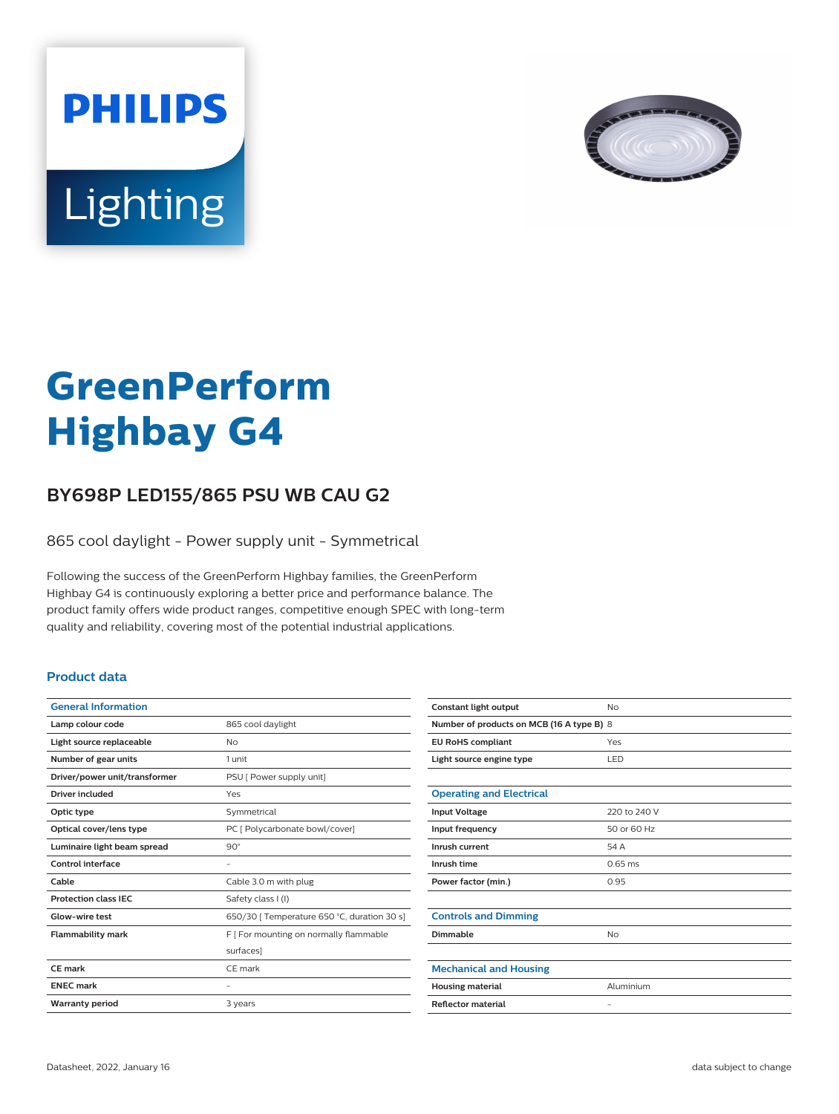



# **GreenPerform Highbay G4**

## **BY698P LED155/865 PSU WB CAU G2**

865 cool daylight - Power supply unit - Symmetrical

Following the success of the GreenPerform Highbay families, the GreenPerform Highbay G4 is continuously exploring a better price and performance balance. The product family offers wide product ranges, competitive enough SPEC with long-term quality and reliability, covering most of the potential industrial applications.

#### **Product data**

| <b>General Information</b>    |                                             |
|-------------------------------|---------------------------------------------|
| Lamp colour code              | 865 cool daylight                           |
| Light source replaceable      | No                                          |
| Number of gear units          | 1 unit                                      |
| Driver/power unit/transformer | PSU [ Power supply unit]                    |
| <b>Driver included</b>        | Yes                                         |
| Optic type                    | Symmetrical                                 |
| Optical cover/lens type       | PC [ Polycarbonate bowl/cover]              |
| Luminaire light beam spread   | $90^\circ$                                  |
| Control interface             |                                             |
| Cable                         | Cable 3.0 m with plug                       |
| <b>Protection class IEC</b>   | Safety class I (I)                          |
| Glow-wire test                | 650/30   Temperature 650 °C, duration 30 s] |
| <b>Flammability mark</b>      | F [ For mounting on normally flammable      |
|                               | surfaces]                                   |
| CE mark                       | CF mark                                     |
| <b>FNFC</b> mark              |                                             |
| <b>Warranty period</b>        | 3 years                                     |
|                               |                                             |

| Constant light output                     | No                |  |
|-------------------------------------------|-------------------|--|
| Number of products on MCB (16 A type B) 8 |                   |  |
| <b>EU RoHS compliant</b>                  | Yes               |  |
| Light source engine type                  | LED               |  |
|                                           |                   |  |
| <b>Operating and Electrical</b>           |                   |  |
| <b>Input Voltage</b>                      | 220 to 240 V      |  |
| Input frequency                           | 50 or 60 Hz       |  |
| Inrush current                            | 54 A              |  |
| Inrush time                               | $0.65$ ms         |  |
| Power factor (min.)                       | 0.95              |  |
|                                           |                   |  |
| <b>Controls and Dimming</b>               |                   |  |
| Dimmable                                  | <b>No</b>         |  |
|                                           |                   |  |
| <b>Mechanical and Housing</b>             |                   |  |
| <b>Housing material</b>                   | Aluminium         |  |
| <b>Reflector material</b>                 | $\qquad \qquad -$ |  |
|                                           |                   |  |